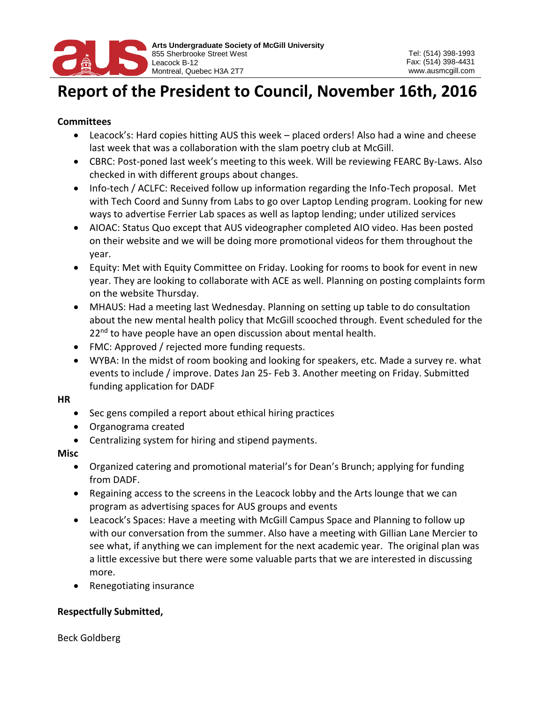

# **Report of the President to Council, November 16th, 2016**

### **Committees**

- Leacock's: Hard copies hitting AUS this week placed orders! Also had a wine and cheese last week that was a collaboration with the slam poetry club at McGill.
- CBRC: Post-poned last week's meeting to this week. Will be reviewing FEARC By-Laws. Also checked in with different groups about changes.
- Info-tech / ACLFC: Received follow up information regarding the Info-Tech proposal. Met with Tech Coord and Sunny from Labs to go over Laptop Lending program. Looking for new ways to advertise Ferrier Lab spaces as well as laptop lending; under utilized services
- AIOAC: Status Quo except that AUS videographer completed AIO video. Has been posted on their website and we will be doing more promotional videos for them throughout the year.
- Equity: Met with Equity Committee on Friday. Looking for rooms to book for event in new year. They are looking to collaborate with ACE as well. Planning on posting complaints form on the website Thursday.
- MHAUS: Had a meeting last Wednesday. Planning on setting up table to do consultation about the new mental health policy that McGill scooched through. Event scheduled for the 22<sup>nd</sup> to have people have an open discussion about mental health.
- FMC: Approved / rejected more funding requests.
- WYBA: In the midst of room booking and looking for speakers, etc. Made a survey re. what events to include / improve. Dates Jan 25- Feb 3. Another meeting on Friday. Submitted funding application for DADF

#### **HR**

- Sec gens compiled a report about ethical hiring practices
- Organograma created
- Centralizing system for hiring and stipend payments.

#### **Misc**

- Organized catering and promotional material's for Dean's Brunch; applying for funding from DADF.
- Regaining access to the screens in the Leacock lobby and the Arts lounge that we can program as advertising spaces for AUS groups and events
- Leacock's Spaces: Have a meeting with McGill Campus Space and Planning to follow up with our conversation from the summer. Also have a meeting with Gillian Lane Mercier to see what, if anything we can implement for the next academic year. The original plan was a little excessive but there were some valuable parts that we are interested in discussing more.
- Renegotiating insurance

## **Respectfully Submitted,**

Beck Goldberg